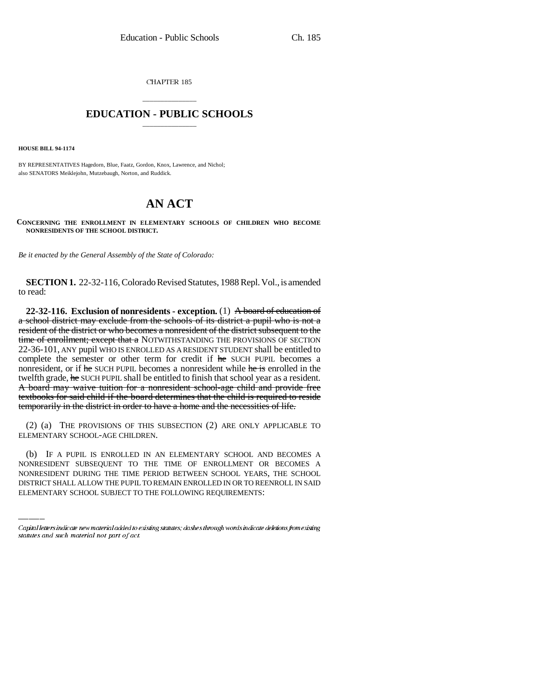CHAPTER 185

## \_\_\_\_\_\_\_\_\_\_\_\_\_\_\_ **EDUCATION - PUBLIC SCHOOLS** \_\_\_\_\_\_\_\_\_\_\_\_\_\_\_

**HOUSE BILL 94-1174**

BY REPRESENTATIVES Hagedorn, Blue, Faatz, Gordon, Knox, Lawrence, and Nichol; also SENATORS Meiklejohn, Mutzebaugh, Norton, and Ruddick.

## **AN ACT**

**CONCERNING THE ENROLLMENT IN ELEMENTARY SCHOOLS OF CHILDREN WHO BECOME NONRESIDENTS OF THE SCHOOL DISTRICT.**

*Be it enacted by the General Assembly of the State of Colorado:*

**SECTION 1.** 22-32-116, Colorado Revised Statutes, 1988 Repl. Vol., is amended to read:

**22-32-116. Exclusion of nonresidents - exception.** (1) A board of education of a school district may exclude from the schools of its district a pupil who is not a resident of the district or who becomes a nonresident of the district subsequent to the time of enrollment; except that a NOTWITHSTANDING THE PROVISIONS OF SECTION 22-36-101, ANY pupil WHO IS ENROLLED AS A RESIDENT STUDENT shall be entitled to complete the semester or other term for credit if he SUCH PUPIL becomes a nonresident, or if he SUCH PUPIL becomes a nonresident while he is enrolled in the twelfth grade, he SUCH PUPIL shall be entitled to finish that school year as a resident. A board may waive tuition for a nonresident school-age child and provide free textbooks for said child if the board determines that the child is required to reside temporarily in the district in order to have a home and the necessities of life.

(2) (a) THE PROVISIONS OF THIS SUBSECTION (2) ARE ONLY APPLICABLE TO ELEMENTARY SCHOOL-AGE CHILDREN.

(b) IF A PUPIL IS ENROLLED IN AN ELEMENTARY SCHOOL AND BECOMES A NONRESIDENT SUBSEQUENT TO THE TIME OF ENROLLMENT OR BECOMES A NONRESIDENT DURING THE TIME PERIOD BETWEEN SCHOOL YEARS, THE SCHOOL DISTRICT SHALL ALLOW THE PUPIL TO REMAIN ENROLLED IN OR TO REENROLL IN SAID ELEMENTARY SCHOOL SUBJECT TO THE FOLLOWING REQUIREMENTS:

Capital letters indicate new material added to existing statutes; dashes through words indicate deletions from existing statutes and such material not part of act.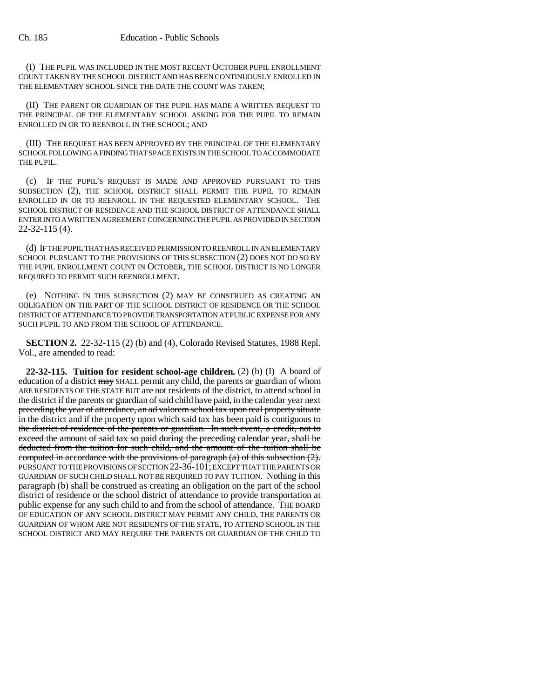(I) THE PUPIL WAS INCLUDED IN THE MOST RECENT OCTOBER PUPIL ENROLLMENT COUNT TAKEN BY THE SCHOOL DISTRICT AND HAS BEEN CONTINUOUSLY ENROLLED IN THE ELEMENTARY SCHOOL SINCE THE DATE THE COUNT WAS TAKEN;

(II) THE PARENT OR GUARDIAN OF THE PUPIL HAS MADE A WRITTEN REQUEST TO THE PRINCIPAL OF THE ELEMENTARY SCHOOL ASKING FOR THE PUPIL TO REMAIN ENROLLED IN OR TO REENROLL IN THE SCHOOL; AND

(III) THE REQUEST HAS BEEN APPROVED BY THE PRINCIPAL OF THE ELEMENTARY SCHOOL FOLLOWING A FINDING THAT SPACE EXISTS IN THE SCHOOL TO ACCOMMODATE THE PUPIL.

(c) IF THE PUPIL'S REQUEST IS MADE AND APPROVED PURSUANT TO THIS SUBSECTION (2), THE SCHOOL DISTRICT SHALL PERMIT THE PUPIL TO REMAIN ENROLLED IN OR TO REENROLL IN THE REQUESTED ELEMENTARY SCHOOL. THE SCHOOL DISTRICT OF RESIDENCE AND THE SCHOOL DISTRICT OF ATTENDANCE SHALL ENTER INTO A WRITTEN AGREEMENT CONCERNING THE PUPIL AS PROVIDED IN SECTION 22-32-115 (4).

(d) IF THE PUPIL THAT HAS RECEIVED PERMISSION TO REENROLL IN AN ELEMENTARY SCHOOL PURSUANT TO THE PROVISIONS OF THIS SUBSECTION (2) DOES NOT DO SO BY THE PUPIL ENROLLMENT COUNT IN OCTOBER, THE SCHOOL DISTRICT IS NO LONGER REQUIRED TO PERMIT SUCH REENROLLMENT.

(e) NOTHING IN THIS SUBSECTION (2) MAY BE CONSTRUED AS CREATING AN OBLIGATION ON THE PART OF THE SCHOOL DISTRICT OF RESIDENCE OR THE SCHOOL DISTRICT OF ATTENDANCE TO PROVIDE TRANSPORTATION AT PUBLIC EXPENSE FOR ANY SUCH PUPIL TO AND FROM THE SCHOOL OF ATTENDANCE.

**SECTION 2.** 22-32-115 (2) (b) and (4), Colorado Revised Statutes, 1988 Repl. Vol., are amended to read:

**22-32-115. Tuition for resident school-age children.** (2) (b) (I) A board of education of a district may SHALL permit any child, the parents or guardian of whom ARE RESIDENTS OF THE STATE BUT are not residents of the district, to attend school in the district if the parents or guardian of said child have paid, in the calendar year next preceding the year of attendance, an ad valorem school tax upon real property situate in the district and if the property upon which said tax has been paid is contiguous to the district of residence of the parents or guardian. In such event, a credit, not to exceed the amount of said tax so paid during the preceding calendar year, shall be deducted from the tuition for such child, and the amount of the tuition shall be computed in accordance with the provisions of paragraph (a) of this subsection (2). PURSUANT TO THE PROVISIONS OF SECTION 22-36-101; EXCEPT THAT THE PARENTS OR GUARDIAN OF SUCH CHILD SHALL NOT BE REQUIRED TO PAY TUITION. Nothing in this paragraph (b) shall be construed as creating an obligation on the part of the school district of residence or the school district of attendance to provide transportation at public expense for any such child to and from the school of attendance. THE BOARD OF EDUCATION OF ANY SCHOOL DISTRICT MAY PERMIT ANY CHILD, THE PARENTS OR GUARDIAN OF WHOM ARE NOT RESIDENTS OF THE STATE, TO ATTEND SCHOOL IN THE SCHOOL DISTRICT AND MAY REQUIRE THE PARENTS OR GUARDIAN OF THE CHILD TO